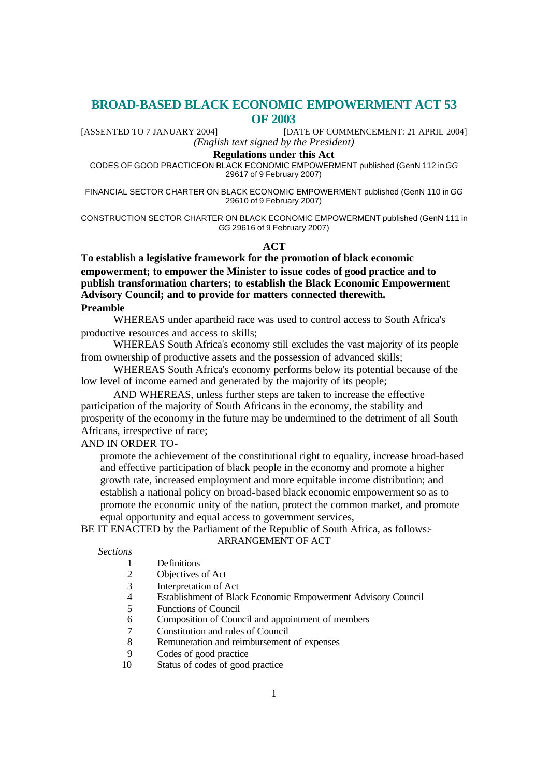# **BROAD-BASED BLACK ECONOMIC EMPOWERMENT ACT 53 OF 2003**

[ASSENTED TO 7 JANUARY 2004] [DATE OF COMMENCEMENT: 21 APRIL 2004] *(English text signed by the President)*

#### **Regulations under this Act**

CODES OF GOOD PRACTICEON BLACK ECONOMIC EMPOWERMENT published (GenN 112 in *GG* 29617 of 9 February 2007)

FINANCIAL SECTOR CHARTER ON BLACK ECONOMIC EMPOWERMENT published (GenN 110 in *GG* 29610 of 9 February 2007)

CONSTRUCTION SECTOR CHARTER ON BLACK ECONOMIC EMPOWERMENT published (GenN 111 in *GG* 29616 of 9 February 2007)

**ACT**

**To establish a legislative framework for the promotion of black economic empowerment; to empower the Minister to issue codes of good practice and to publish transformation charters; to establish the Black Economic Empowerment Advisory Council; and to provide for matters connected therewith. Preamble**

WHEREAS under apartheid race was used to control access to South Africa's productive resources and access to skills;

WHEREAS South Africa's economy still excludes the vast majority of its people from ownership of productive assets and the possession of advanced skills;

WHEREAS South Africa's economy performs below its potential because of the low level of income earned and generated by the majority of its people;

AND WHEREAS, unless further steps are taken to increase the effective participation of the majority of South Africans in the economy, the stability and prosperity of the economy in the future may be undermined to the detriment of all South Africans, irrespective of race;

AND IN ORDER TO-

promote the achievement of the constitutional right to equality, increase broad-based and effective participation of black people in the economy and promote a higher growth rate, increased employment and more equitable income distribution; and establish a national policy on broad-based black economic empowerment so as to promote the economic unity of the nation, protect the common market, and promote equal opportunity and equal access to government services,

BE IT ENACTED by the Parliament of the Republic of South Africa, as follows:-

ARRANGEMENT OF ACT

*Sections*

#### 1 Definitions

- 2 Objectives of Act
- 3 Interpretation of Act
- 4 Establishment of Black Economic Empowerment Advisory Council
- 5 Functions of Council<br>6 Composition of Coun
- 6 Composition of Council and appointment of members
- 7 Constitution and rules of Council
- 8 Remuneration and reimbursement of expenses
- 9 Codes of good practice
- 10 Status of codes of good practice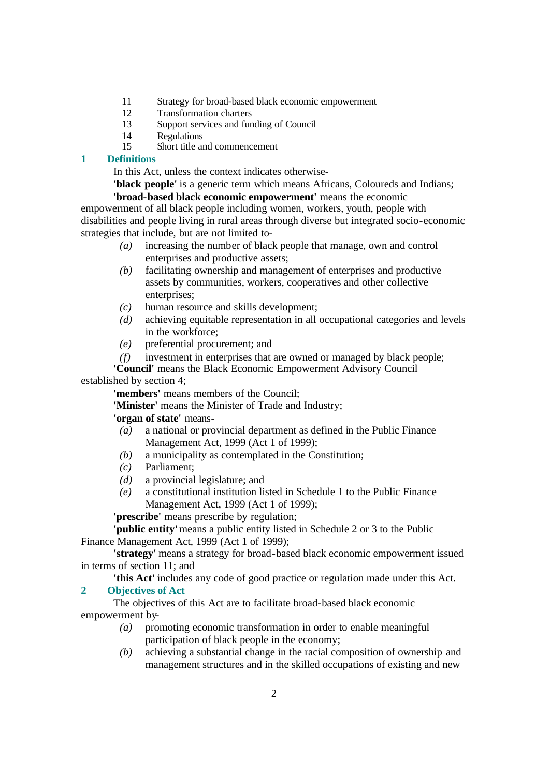- 11 Strategy for broad-based black economic empowerment
- 12 Transformation charters
- 13 Support services and funding of Council
- 14 Regulations
- 15 Short title and commencement

## **1 Definitions**

In this Act, unless the context indicates otherwise-

**'black people'** is a generic term which means Africans, Coloureds and Indians; **'broad-based black economic empowerment'** means the economic

empowerment of all black people including women, workers, youth, people with disabilities and people living in rural areas through diverse but integrated socio-economic strategies that include, but are not limited to-

- *(a)* increasing the number of black people that manage, own and control enterprises and productive assets;
- *(b)* facilitating ownership and management of enterprises and productive assets by communities, workers, cooperatives and other collective enterprises;
- *(c)* human resource and skills development;
- *(d)* achieving equitable representation in all occupational categories and levels in the workforce;
- *(e)* preferential procurement; and
- *(f)* investment in enterprises that are owned or managed by black people;

**'Council'** means the Black Economic Empowerment Advisory Council established by section 4;

**'members'** means members of the Council;

**'Minister'** means the Minister of Trade and Industry;

## **'organ of state'** means-

- *(a)* a national or provincial department as defined in the Public Finance Management Act, 1999 (Act 1 of 1999);
- *(b)* a municipality as contemplated in the Constitution;
- *(c)* Parliament;
- *(d)* a provincial legislature; and
- *(e)* a constitutional institution listed in Schedule 1 to the Public Finance Management Act, 1999 (Act 1 of 1999);

**'prescribe'** means prescribe by regulation;

**'public entity'** means a public entity listed in Schedule 2 or 3 to the Public Finance Management Act, 1999 (Act 1 of 1999);

**'strategy'** means a strategy for broad-based black economic empowerment issued in terms of section 11; and

**'this Act'** includes any code of good practice or regulation made under this Act.

## **2 Objectives of Act**

The objectives of this Act are to facilitate broad-based black economic empowerment by-

- *(a)* promoting economic transformation in order to enable meaningful participation of black people in the economy;
- *(b)* achieving a substantial change in the racial composition of ownership and management structures and in the skilled occupations of existing and new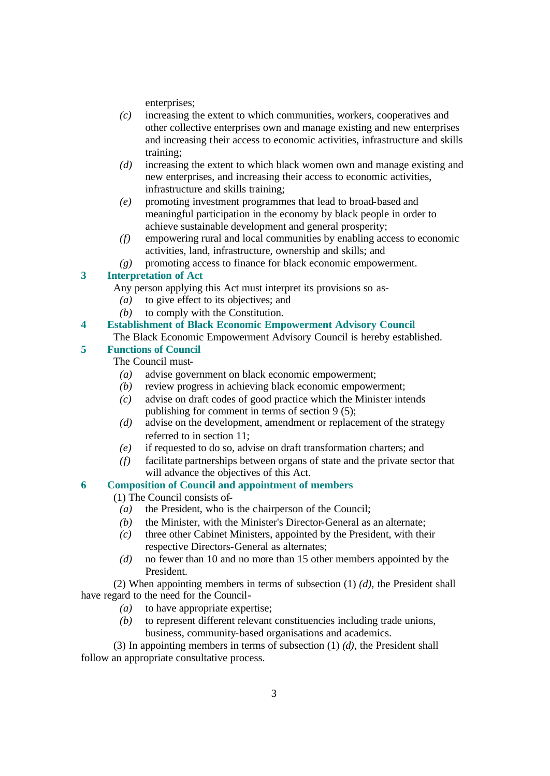enterprises;

- *(c)* increasing the extent to which communities, workers, cooperatives and other collective enterprises own and manage existing and new enterprises and increasing their access to economic activities, infrastructure and skills training;
- *(d)* increasing the extent to which black women own and manage existing and new enterprises, and increasing their access to economic activities, infrastructure and skills training;
- *(e)* promoting investment programmes that lead to broad-based and meaningful participation in the economy by black people in order to achieve sustainable development and general prosperity;
- *(f)* empowering rural and local communities by enabling access to economic activities, land, infrastructure, ownership and skills; and
- *(g)* promoting access to finance for black economic empowerment.

## **3 Interpretation of Act**

- Any person applying this Act must interpret its provisions so as-
	- *(a)* to give effect to its objectives; and
	- *(b)* to comply with the Constitution.
- **4 Establishment of Black Economic Empowerment Advisory Council**
- The Black Economic Empowerment Advisory Council is hereby established.

## **5 Functions of Council**

The Council must-

- *(a)* advise government on black economic empowerment;
- *(b)* review progress in achieving black economic empowerment;
- *(c)* advise on draft codes of good practice which the Minister intends publishing for comment in terms of section 9 (5);
- *(d)* advise on the development, amendment or replacement of the strategy referred to in section 11;
- *(e)* if requested to do so, advise on draft transformation charters; and
- *(f)* facilitate partnerships between organs of state and the private sector that will advance the objectives of this Act.

# **6 Composition of Council and appointment of members**

- (1) The Council consists of-
- *(a)* the President, who is the chairperson of the Council;
- *(b)* the Minister, with the Minister's Director-General as an alternate;
- *(c)* three other Cabinet Ministers, appointed by the President, with their respective Directors-General as alternates;
- *(d)* no fewer than 10 and no more than 15 other members appointed by the President.

(2) When appointing members in terms of subsection (1) *(d)*, the President shall have regard to the need for the Council-

- *(a)* to have appropriate expertise;
- *(b)* to represent different relevant constituencies including trade unions, business, community-based organisations and academics.

(3) In appointing members in terms of subsection (1) *(d)*, the President shall follow an appropriate consultative process.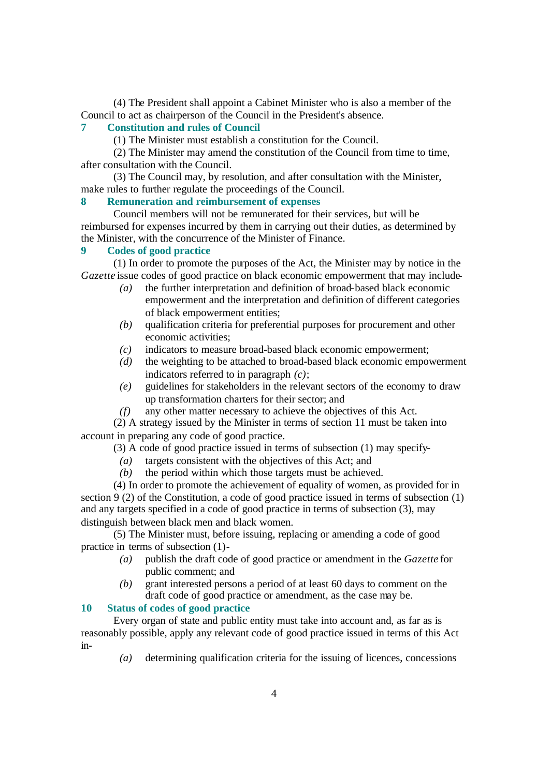(4) The President shall appoint a Cabinet Minister who is also a member of the Council to act as chairperson of the Council in the President's absence.

## **7 Constitution and rules of Council**

(1) The Minister must establish a constitution for the Council.

(2) The Minister may amend the constitution of the Council from time to time, after consultation with the Council.

(3) The Council may, by resolution, and after consultation with the Minister, make rules to further regulate the proceedings of the Council.

#### **8 Remuneration and reimbursement of expenses**

Council members will not be remunerated for their services, but will be reimbursed for expenses incurred by them in carrying out their duties, as determined by the Minister, with the concurrence of the Minister of Finance.

#### **9 Codes of good practice**

(1) In order to promote the purposes of the Act, the Minister may by notice in the *Gazette* issue codes of good practice on black economic empowerment that may include-

- *(a)* the further interpretation and definition of broad-based black economic empowerment and the interpretation and definition of different categories of black empowerment entities;
- *(b)* qualification criteria for preferential purposes for procurement and other economic activities;
- *(c)* indicators to measure broad-based black economic empowerment;
- *(d)* the weighting to be attached to broad-based black economic empowerment indicators referred to in paragraph *(c)*;
- *(e)* guidelines for stakeholders in the relevant sectors of the economy to draw up transformation charters for their sector; and
- *(f)* any other matter necessary to achieve the objectives of this Act.

(2) A strategy issued by the Minister in terms of section 11 must be taken into account in preparing any code of good practice.

(3) A code of good practice issued in terms of subsection (1) may specify-

- *(a)* targets consistent with the objectives of this Act; and
- *(b)* the period within which those targets must be achieved.

(4) In order to promote the achievement of equality of women, as provided for in section 9 (2) of the Constitution, a code of good practice issued in terms of subsection (1) and any targets specified in a code of good practice in terms of subsection (3), may distinguish between black men and black women.

(5) The Minister must, before issuing, replacing or amending a code of good practice in terms of subsection (1)-

- *(a)* publish the draft code of good practice or amendment in the *Gazette* for public comment; and
- *(b)* grant interested persons a period of at least 60 days to comment on the draft code of good practice or amendment, as the case may be.

#### **10 Status of codes of good practice**

Every organ of state and public entity must take into account and, as far as is reasonably possible, apply any relevant code of good practice issued in terms of this Act in-

*(a)* determining qualification criteria for the issuing of licences, concessions